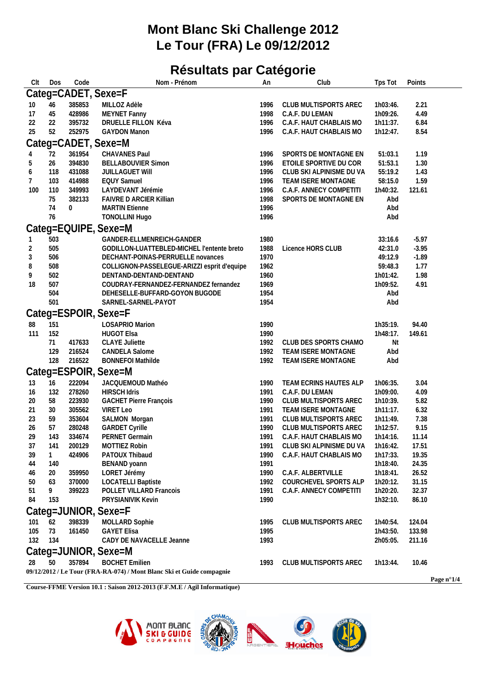## **Mont Blanc Ski Challenge 2012 Le Tour (FRA) Le 09/12/2012**

## **Résultats par Catégorie**

| Clt      | Dos          | Code         | Nom - Prénom                                                          | An           | Club                                             | Tps Tot              | Points         |  |
|----------|--------------|--------------|-----------------------------------------------------------------------|--------------|--------------------------------------------------|----------------------|----------------|--|
|          |              |              | Categ=CADET, Sexe=F                                                   |              |                                                  |                      |                |  |
| 10       | 46           | 385853       | MILLOZ Adèle                                                          | 1996         | CLUB MULTISPORTS AREC                            | 1h03:46.             | 2.21           |  |
| 17       | 45           | 428986       | MEYNET Fanny                                                          | 1998         | C.A.F. DU LEMAN                                  | 1h09:26.             | 4.49           |  |
| 22       | 22           | 395732       | DRUELLE FILLON Kéva                                                   | 1996         | C.A.F. HAUT CHABLAIS MO                          | 1h11:37.             | 6.84           |  |
| 25       | 52           | 252975       | <b>GAYDON Manon</b>                                                   | 1996         | C.A.F. HAUT CHABLAIS MO                          | 1h12:47.             | 8.54           |  |
|          |              |              | Categ=CADET, Sexe=M                                                   |              |                                                  |                      |                |  |
|          | 72           | 361954       | CHAVANES Paul                                                         | 1996         | SPORTS DE MONTAGNE EN                            | 51:03.1              | 1.19           |  |
| 5        | 26           | 394830       | <b>BELLABOUVIER Simon</b>                                             | 1996         | ETOILE SPORTIVE DU COR                           | 51:53.1              | 1.30           |  |
| 6        | 118          | 431088       | <b>JUILLAGUET WIII</b>                                                | 1996         | CLUB SKI ALPINISME DU VA                         | 55:19.2              | 1.43           |  |
| 7        | 103          | 414988       | <b>EQUY Samuel</b>                                                    | 1996         | TEAM ISERE MONTAGNE                              | 58:15.0              | 1.59           |  |
| 100      | 110          | 349993       | LAYDEVANT Jérémie                                                     | 1996         | C.A.F. ANNECY COMPETITI                          | 1h40:32.             | 121.61         |  |
|          | 75           | 382133       | <b>FAIVRE D ARCIER Killian</b>                                        | 1998         | SPORTS DE MONTAGNE EN                            | Abd                  |                |  |
|          | 74           | $\mathbf{0}$ | <b>MARTIN Etienne</b>                                                 | 1996         |                                                  | Abd                  |                |  |
|          | 76           |              | <b>TONOLLINI Hugo</b>                                                 | 1996         |                                                  | Abd                  |                |  |
|          |              |              | Categ=EQUIPE, Sexe=M                                                  |              |                                                  |                      |                |  |
|          | 503          |              | GANDER-ELLMENREICH-GANDER                                             | 1980         |                                                  | 33:16.6              | $-5.97$        |  |
| 2        | 505          |              | GODILLON-LUATTEBLED-MICHEL l'entente breto                            | 1988         | Licence HORS CLUB                                | 42:31.0              | $-3.95$        |  |
| 3        | 506          |              | DECHANT-POINAS-PERRUELLE novances                                     | 1970         |                                                  | 49:12.9              | $-1.89$        |  |
| 8        | 508          |              | COLLIGNON-PASSELEGUE-ARIZZI esprit d'equipe                           | 1962         |                                                  | 59:48.3              | 1.77           |  |
| 9        | 502          |              | DENTAND-DENTAND-DENTAND                                               | 1960         |                                                  | 1h01:42.             | 1.98           |  |
| 18       | 507          |              | COUDRAY-FERNANDEZ-FERNANDEZ fernandez                                 | 1969         |                                                  | 1h09:52.             | 4.91           |  |
|          | 504          |              | DEHESELLE-BUFFARD-GOYON BUGODE                                        | 1954         |                                                  | Abd                  |                |  |
|          | 501          |              | SARNEL-SARNEL-PAYOT                                                   | 1954         |                                                  | Abd                  |                |  |
|          |              |              | Categ=ESPOIR, Sexe=F                                                  |              |                                                  |                      |                |  |
| 88       | 151          |              | LOSAPRIO Marion                                                       | 1990         |                                                  | 1h35:19.             | 94.40          |  |
| 111      | 152          |              | <b>HUGOT Elsa</b>                                                     | 1990         |                                                  | 1h48:17.             | 149.61         |  |
|          | 71           | 417633       | <b>CLAYE Juliette</b>                                                 | 1992         | CLUB DES SPORTS CHAMO                            | Nt                   |                |  |
|          | 129          | 216524       | CANDELA Salome                                                        | 1992         | TEAM ISERE MONTAGNE                              | Abd                  |                |  |
|          | 128          | 216522       | <b>BONNEFOI Mathilde</b>                                              | 1992         | TEAM ISERE MONTAGNE                              | Abd                  |                |  |
|          |              |              | Categ=ESPOIR, Sexe=M                                                  |              |                                                  |                      |                |  |
| 13       | 16           | 222094       | JACQUEMOUD Mathéo                                                     | 1990         | TEAM ECRINS HAUTES ALP                           | 1h06:35.             | 3.04           |  |
| 16       | 132          | 278260       | <b>HIRSCH Idris</b>                                                   | 1991         | C.A.F. DU LEMAN                                  | 1h09:00.             | 4.09           |  |
| 20       | 58           | 223930       | <b>GACHET Pierre François</b>                                         | 1990         | CLUB MULTISPORTS AREC                            | 1h10:39.             | 5.82           |  |
| 21       | 30           | 305562       | VIRET Leo                                                             | 1991         | TEAM ISERE MONTAGNE                              | 1h11:17.             | 6.32           |  |
| 23       | 59           | 353604       | SALMON Morgan                                                         | 1991         | CLUB MULTISPORTS AREC                            | 1h11:49.             | 7.38           |  |
| 26       | 57           | 280248       | <b>GARDET Cyrille</b>                                                 | 1990         | CLUB MULTISPORTS AREC                            | 1h12:57.             | 9.15           |  |
| 29       | 143          | 334674       | PERNET Germain                                                        | 1991         | C.A.F. HAUT CHABLAIS MO                          | 1h14:16.             | 11.14          |  |
| 37       | 141          | 200129       | MOTTIEZ Robin                                                         | 1991         | CLUB SKI ALPINISME DU VA                         | 1h16:42.             | 17.51          |  |
| 39       | $\mathbf{1}$ | 424906       | PATOUX Thibaud                                                        | 1990         | C.A.F. HAUT CHABLAIS MO                          | 1h17:33.             | 19.35          |  |
| 44       | 140          |              | BENAND yoann                                                          | 1991         |                                                  | 1h18:40.             | 24.35          |  |
| 46       | 20           | 359950       | LORET Jérémy                                                          | 1990         | C.A.F. ALBERTVILLE                               | 1h18:41.             | 26.52          |  |
| 50       | 63<br>9      | 370000       | <b>LOCATELLI Baptiste</b><br>POLLET VILLARD Francois                  | 1992         | COURCHEVEL SPORTS ALP<br>C.A.F. ANNECY COMPETITI | 1h20:12.<br>1h20:20. | 31.15          |  |
| 51<br>84 | 153          | 399223       | PRYSIANIVIK Kevin                                                     | 1991<br>1990 |                                                  | 1h32:10.             | 32.37<br>86.10 |  |
|          |              |              |                                                                       |              |                                                  |                      |                |  |
|          |              |              | Categ=JUNIOR, Sexe=F                                                  |              |                                                  |                      |                |  |
| 101      | 62           | 398339       | <b>MOLLARD Sophie</b>                                                 | 1995         | CLUB MULTISPORTS AREC                            | 1h40:54.             | 124.04         |  |
| 105      | 73           | 161450       | <b>GAYET Elisa</b>                                                    | 1995         |                                                  | 1h43:50.             | 133.98         |  |
| 132      | 134          |              | CADY DE NAVACELLE Jeanne                                              | 1993         |                                                  | 2h05:05.             | 211.16         |  |
|          |              |              | Categ=JUNIOR, Sexe=M                                                  |              |                                                  |                      |                |  |
| 28       | 50           | 357894       | <b>BOCHET Emilien</b>                                                 | 1993         | CLUB MULTISPORTS AREC                            | 1h13:44.             | 10.46          |  |
|          |              |              | 09/12/2012 / Le Tour (FRA-RA-074) / Mont Blanc Ski et Guide compagnie |              |                                                  |                      |                |  |
|          |              |              |                                                                       |              |                                                  |                      |                |  |

**Course-FFME Version 10.1 : Saison 2012-2013 (F.F.M.E / Agil Informatique)**



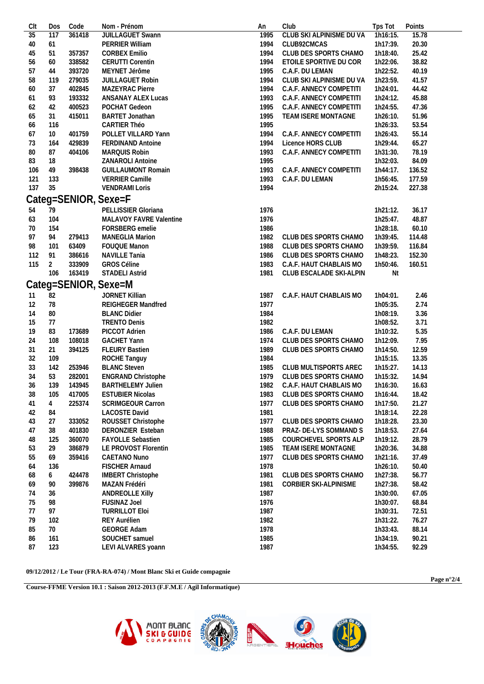| CIt | Dos            | Code   | Nom - Prénom              | An   | Club                     | Tps Tot  | Points |
|-----|----------------|--------|---------------------------|------|--------------------------|----------|--------|
| 35  | 117            | 361418 | JUILLAGUET Swann          | 1995 | CLUB SKI ALPINISME DU VA | 1h16:15. | 15.78  |
| 40  | 61             |        | PERRIER William           | 1994 | CLUB92CMCAS              | 1h17:39. | 20.30  |
| 45  | 51             | 357357 | <b>CORBEX Emilio</b>      | 1994 | CLUB DES SPORTS CHAMO    | 1h18:40. | 25.42  |
| 56  | 60             | 338582 | <b>CERUTTI Corentin</b>   | 1994 | ETOILE SPORTIVE DU COR   | 1h22:06. | 38.82  |
| 57  | 44             | 393720 | MEYNET Jérôme             | 1995 | C.A.F. DU LEMAN          | 1h22:52. | 40.19  |
| 58  | 119            | 279035 | JUILLAGUET Robin          | 1994 | CLUB SKI ALPINISME DU VA | 1h23:59. | 41.57  |
| 60  | 37             | 402845 | MAZEYRAC Pierre           | 1994 | C.A.F. ANNECY COMPETITI  | 1h24:01. | 44.42  |
| 61  | 93             | 193332 | ANSANAY ALEX Lucas        | 1993 | C.A.F. ANNECY COMPETITI  | 1h24:12. | 45.88  |
| 62  | 42             | 400523 | POCHAT Gedeon             | 1995 | C.A.F. ANNECY COMPETITI  | 1h24:55. | 47.36  |
| 65  | 31             | 415011 | <b>BARTET Jonathan</b>    | 1995 | TEAM ISERE MONTAGNE      | 1h26:10. | 51.96  |
| 66  | 116            |        | CARTIER Théo              | 1995 |                          | 1h26:33. | 53.54  |
| 67  | 10             | 401759 | POLLET VILLARD Yann       | 1994 | C.A.F. ANNECY COMPETITI  | 1h26:43. | 55.14  |
| 73  | 164            | 429839 | <b>FERDINAND Antoine</b>  | 1994 | Licence HORS CLUB        | 1h29:44. | 65.27  |
| 80  | 87             | 404106 | MARQUIS Robin             | 1993 | C.A.F. ANNECY COMPETITI  | 1h31:30. | 78.19  |
| 83  | 18             |        | ZANAROLI Antoine          | 1995 |                          | 1h32:03. | 84.09  |
| 106 | 49             | 398438 | <b>GUILLAUMONT Romain</b> | 1993 | C.A.F. ANNECY COMPETITI  | 1h44:17. | 136.52 |
| 121 | 133            |        | VERRIER Camille           | 1993 | C.A.F. DU LEMAN          | 1h56:45. | 177.59 |
| 137 | 35             |        | <b>VENDRAMI Loris</b>     | 1994 |                          | 2h15:24. | 227.38 |
|     |                |        | Categ=SENIOR, Sexe=F      |      |                          |          |        |
| 54  | 79             |        | PELLISSIER Gloriana       | 1976 |                          | 1h21:12. | 36.17  |
| 63  | 104            |        | MALAVOY FAVRE Valentine   | 1976 |                          | 1h25:47. | 48.87  |
| 70  | 154            |        | FORSBERG emelie           | 1986 |                          | 1h28:18. | 60.10  |
| 97  | 94             | 279413 | <b>MANEGLIA Marion</b>    | 1982 | CLUB DES SPORTS CHAMO    | 1h39:45. | 114.48 |
| 98  | 101            | 63409  | FOUQUE Manon              | 1988 | CLUB DES SPORTS CHAMO    | 1h39:59. | 116.84 |
| 112 | 91             | 386616 | <b>NAVILLE Tania</b>      | 1986 | CLUB DES SPORTS CHAMO    | 1h48:23. | 152.30 |
| 115 | $\overline{2}$ | 333909 | <b>GROS Céline</b>        | 1983 | C.A.F. HAUT CHABLAIS MO  | 1h50:46. | 160.51 |
|     | 106            | 163419 | <b>STADELI Astrid</b>     | 1981 | CLUB ESCALADE SKI-ALPIN  | Nt       |        |
|     |                |        | Categ=SENIOR, Sexe=M      |      |                          |          |        |
|     |                |        |                           |      |                          |          |        |
| -11 | 82             |        | JORNET Killian            | 1987 | C.A.F. HAUT CHABLAIS MO  | 1h04:01. | 2.46   |
| 12  | 78             |        | <b>REIGHEGER Mandfred</b> | 1977 |                          | 1h05:35. | 2.74   |
| 14  | 80             |        | <b>BLANC Didier</b>       | 1984 |                          | 1h08:19. | 3.36   |
| 15  | 77             |        | <b>TRENTO Denis</b>       | 1982 |                          | 1h08:52. | 3.71   |
| 19  | 83             | 173689 | PICCOT Adrien             | 1986 | C.A.F. DU LEMAN          | 1h10:32. | 5.35   |
| 24  | 108            | 108018 | <b>GACHET Yann</b>        | 1974 | CLUB DES SPORTS CHAMO    | 1h12:09. | 7.95   |
| 31  | 21             | 394125 | <b>FLEURY Bastien</b>     | 1989 | CLUB DES SPORTS CHAMO    | 1h14:50. | 12.59  |
| 32  | 109            |        | ROCHE Tanguy              | 1984 |                          | 1h15:15. | 13.35  |
| 33  | 142            | 253946 | <b>BLANC Steven</b>       | 1985 | CLUB MULTISPORTS AREC    | 1h15:27. | 14.13  |
| 34  | 53             | 282001 | ENGRAND Christophe        | 1979 | CLUB DES SPORTS CHAMO    | 1h15:32. | 14.94  |
| 36  | 139            | 143945 | <b>BARTHELEMY Julien</b>  | 1982 | C.A.F. HAUT CHABLAIS MO  | 1h16:30. | 16.63  |
| 38  | 105            | 417005 | <b>ESTUBIER Nicolas</b>   | 1983 | CLUB DES SPORTS CHAMO    | 1h16:44. | 18.42  |
| 41  | $\overline{4}$ | 225374 | <b>SCRIMGEOUR Carron</b>  | 1977 | CLUB DES SPORTS CHAMO    | 1h17:50. | 21.27  |
| 42  | 84             |        | <b>LACOSTE David</b>      | 1981 |                          | 1h18:14. | 22.28  |
| 43  | 27             | 333052 | ROUSSET Christophe        | 1977 | CLUB DES SPORTS CHAMO    | 1h18:28. | 23.30  |
| 47  | 38             | 401830 | DERONZIER Esteban         | 1988 | PRAZ- DE-LYS SOMMAND S   | 1h18:53. | 27.64  |
| 48  | 125            | 360070 | FAYOLLE Sebastien         | 1985 | COURCHEVEL SPORTS ALP    | 1h19:12. | 28.79  |
| 53  | 29             | 386879 | LE PROVOST Florentin      | 1985 | TEAM ISERE MONTAGNE      | 1h20:36. | 34.88  |
| 55  | 69             | 359416 | CAETANO Nuno              | 1977 | CLUB DES SPORTS CHAMO    | 1h21:16. | 37.49  |
| 64  | 136            |        | FISCHER Arnaud            | 1978 |                          | 1h26:10. | 50.40  |
| 68  | 6              | 424478 | <b>IMBERT Christophe</b>  | 1981 | CLUB DES SPORTS CHAMO    | 1h27:38. | 56.77  |
| 69  | 90             | 399876 | MAZAN Frédéri             | 1981 | CORBIER SKI-ALPINISME    | 1h27:38. | 58.42  |
| 74  | 36             |        | <b>ANDREOLLE Xilly</b>    | 1987 |                          | 1h30:00. | 67.05  |
| 75  | 98             |        | FUSINAZ Joel              | 1976 |                          | 1h30:07. | 68.84  |
| 77  | 97             |        | <b>TURRILLOT Eloi</b>     | 1987 |                          | 1h30:31. | 72.51  |
| 79  | 102            |        | REY Aurélien              | 1982 |                          | 1h31:22. | 76.27  |
| 85  | 70             |        | <b>GEORGE Adam</b>        | 1978 |                          | 1h33:43. | 88.14  |
| 86  | 161            |        | SOUCHET samuel            | 1985 |                          | 1h34:19. | 90.21  |
| 87  | 123            |        | LEVI ALVARES yoann        | 1987 |                          | 1h34:55. | 92.29  |
|     |                |        |                           |      |                          |          |        |

**09/12/2012 / Le Tour (FRA-RA-074) / Mont Blanc Ski et Guide compagnie**

**Course-FFME Version 10.1 : Saison 2012-2013 (F.F.M.E / Agil Informatique)**



**Page n°2/4**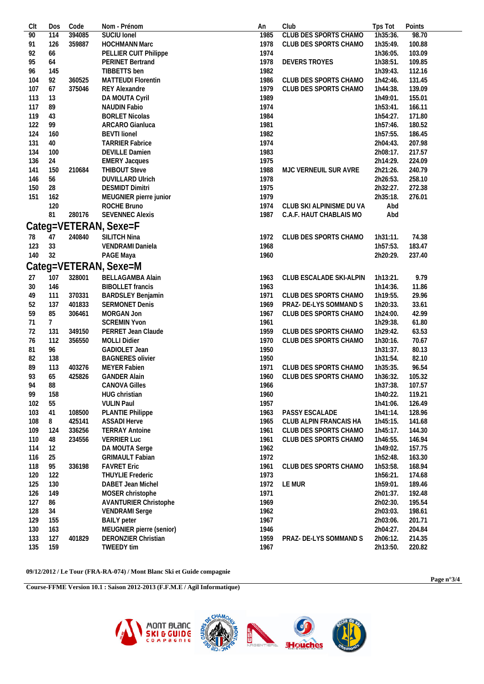| Clt | Dos            | Code   | Nom - Prénom                 | An   | Club                     | Tps Tot  | Points |
|-----|----------------|--------|------------------------------|------|--------------------------|----------|--------|
| 90  | 114            | 394085 | SUCIU Ionel                  | 1985 | CLUB DES SPORTS CHAMO    | 1h35:36. | 98.70  |
| 91  | 126            | 359887 | <b>HOCHMANN Marc</b>         | 1978 | CLUB DES SPORTS CHAMO    | 1h35:49. | 100.88 |
| 92  | 66             |        | PELLIER CUIT Philippe        | 1974 |                          | 1h36:05. | 103.09 |
| 95  | 64             |        | <b>PERINET Bertrand</b>      | 1978 | DEVERS TROYES            | 1h38:51. | 109.85 |
| 96  | 145            |        | TIBBETTS ben                 | 1982 |                          | 1h39:43. | 112.16 |
| 104 | 92             | 360525 | <b>MATTEUDI Florentin</b>    | 1986 | CLUB DES SPORTS CHAMO    | 1h42:46. | 131.45 |
| 107 | 67             | 375046 | <b>REY Alexandre</b>         | 1979 | CLUB DES SPORTS CHAMO    | 1h44:38. | 139.09 |
| 113 | 13             |        |                              | 1989 |                          | 1h49:01. | 155.01 |
|     |                |        | DA MOUTA Cyril               |      |                          |          |        |
| 117 | 89             |        | NAUDIN Fabio                 | 1974 |                          | 1h53:41. | 166.11 |
| 119 | 43             |        | <b>BORLET Nicolas</b>        | 1984 |                          | 1h54:27. | 171.80 |
| 122 | 99             |        | ARCARO Gianluca              | 1981 |                          | 1h57:46. | 180.52 |
| 124 | 160            |        | <b>BEVTI lionel</b>          | 1982 |                          | 1h57:55. | 186.45 |
| 131 | 40             |        | <b>TARRIER Fabrice</b>       | 1974 |                          | 2h04:43. | 207.98 |
| 134 | 100            |        | <b>DEVILLE Damien</b>        | 1983 |                          | 2h08:17. | 217.57 |
| 136 | 24             |        | <b>EMERY Jacques</b>         | 1975 |                          | 2h14:29. | 224.09 |
| 141 | 150            | 210684 | <b>THIBOUT Steve</b>         | 1988 | MJC VERNEUIL SUR AVRE    | 2h21:26. | 240.79 |
| 146 | 56             |        | <b>DUVILLARD Ulrich</b>      | 1978 |                          | 2h26:53. | 258.10 |
| 150 | 28             |        | <b>DESMIDT Dimitri</b>       | 1975 |                          | 2h32:27. | 272.38 |
| 151 | 162            |        | MEUGNIER pierre junior       | 1979 |                          | 2h35:18. | 276.01 |
|     | 120            |        | ROCHE Bruno                  | 1974 | CLUB SKI ALPINISME DU VA | Abd      |        |
|     | 81             | 280176 | <b>SEVENNEC Alexis</b>       | 1987 | C.A.F. HAUT CHABLAIS MO  | Abd      |        |
|     |                |        |                              |      |                          |          |        |
|     |                |        | Categ=VETERAN, Sexe=F        |      |                          |          |        |
| 78  | 47             | 240840 | SILITCH Nina                 | 1972 | CLUB DES SPORTS CHAMO    | 1h31:11. | 74.38  |
| 123 | 33             |        | VENDRAMI Daniela             | 1968 |                          | 1h57:53. | 183.47 |
| 140 | 32             |        | PAGE Maya                    | 1960 |                          | 2h20:29. | 237.40 |
|     |                |        |                              |      |                          |          |        |
|     |                |        | Categ=VETERAN, Sexe=M        |      |                          |          |        |
| 27  | 107            | 328001 | BELLAGAMBA Alain             | 1963 | CLUB ESCALADE SKI-ALPIN  | 1h13:21. | 9.79   |
| 30  | 146            |        | <b>BIBOLLET</b> francis      | 1963 |                          | 1h14:36. | 11.86  |
| 49  | 111            | 370331 | <b>BARDSLEY Benjamin</b>     | 1971 | CLUB DES SPORTS CHAMO    | 1h19:55. | 29.96  |
| 52  | 137            | 401833 | <b>SERMONET Denis</b>        | 1969 | PRAZ- DE-LYS SOMMAND S   | 1h20:33. | 33.61  |
| 59  | 85             | 306461 | MORGAN Jon                   | 1967 | CLUB DES SPORTS CHAMO    | 1h24:00. | 42.99  |
| 71  | 7 <sup>7</sup> |        | <b>SCREMIN Yvon</b>          | 1961 |                          | 1h29:38. | 61.80  |
| 72  | 131            | 349150 | PERRET Jean Claude           | 1959 | CLUB DES SPORTS CHAMO    | 1h29:42. | 63.53  |
| 76  | 112            | 356550 | <b>MOLLI Didier</b>          | 1970 | CLUB DES SPORTS CHAMO    | 1h30:16. | 70.67  |
| 81  | 96             |        | GADIOLET Jean                | 1950 |                          | 1h31:37. | 80.13  |
|     |                |        |                              |      |                          |          |        |
| 82  | 138            |        | <b>BAGNERES olivier</b>      | 1950 |                          | 1h31:54. | 82.10  |
| 89  | 113            | 403276 | <b>MEYER Fabien</b>          | 1971 | CLUB DES SPORTS CHAMO    | 1h35:35. | 96.54  |
| 93  | 65             | 425826 | <b>GANDER Alain</b>          | 1960 | CLUB DES SPORTS CHAMO    | 1h36:32. | 105.32 |
| 94  | 88             |        | <b>CANOVA Gilles</b>         | 1966 |                          | 1h37:38. | 107.57 |
| 99  | 158            |        | HUG christian                | 1960 |                          | 1h40:22. | 119.21 |
| 102 | 55             |        | <b>VULIN Paul</b>            | 1957 |                          | 1h41:06. | 126.49 |
| 103 | 41             | 108500 | PLANTIE Philippe             | 1963 | PASSY ESCALADE           | 1h41:14. | 128.96 |
| 108 | 8              | 425141 | <b>ASSADI Herve</b>          | 1965 | CLUB ALPIN FRANCAIS HA   | 1h45:15. | 141.68 |
| 109 | 124            | 336256 | <b>TERRAY Antoine</b>        | 1961 | CLUB DES SPORTS CHAMO    | 1h45:17. | 144.30 |
| 110 | 48             | 234556 | <b>VERRIER Luc</b>           | 1961 | CLUB DES SPORTS CHAMO    | 1h46:55. | 146.94 |
| 114 | 12             |        | DA MOUTA Serge               | 1962 |                          | 1h49:02. | 157.75 |
| 116 | 25             |        | <b>GRIMAULT Fabian</b>       | 1972 |                          | 1h52:48. | 163.30 |
|     |                |        |                              |      |                          |          |        |
| 118 | 95             | 336198 | <b>FAVRET Eric</b>           | 1961 | CLUB DES SPORTS CHAMO    | 1h53:58. | 168.94 |
| 120 | 122            |        | <b>THUYLIE Frederic</b>      | 1973 |                          | 1h56:21. | 174.68 |
| 125 | 130            |        | DABET Jean Michel            | 1972 | LE MUR                   | 1h59:01. | 189.46 |
| 126 | 149            |        | MOSER christophe             | 1971 |                          | 2h01:37. | 192.48 |
| 127 | 86             |        | <b>AVANTURIER Christophe</b> | 1969 |                          | 2h02:30. | 195.54 |
| 128 | 34             |        | <b>VENDRAMI</b> Serge        | 1962 |                          | 2h03:03. | 198.61 |
| 129 | 155            |        | <b>BAILY</b> peter           | 1967 |                          | 2h03:06. | 201.71 |
| 130 | 163            |        | MEUGNIER pierre (senior)     | 1946 |                          | 2h04:27. | 204.84 |
| 133 | 127            | 401829 | DERONZIER Christian          | 1959 | PRAZ- DE-LYS SOMMAND S   | 2h06:12. | 214.35 |
| 135 | 159            |        | TWEEDY tim                   | 1967 |                          | 2h13:50. | 220.82 |
|     |                |        |                              |      |                          |          |        |

09/12/2012 / Le Tour (FRA-RA-074) / Mont Blanc Ski et Guide compagnie

Course-FFME Version 10.1 : Saison 2012-2013 (F.F.M.E / Agil Informatique)



Page  $n°3/4$